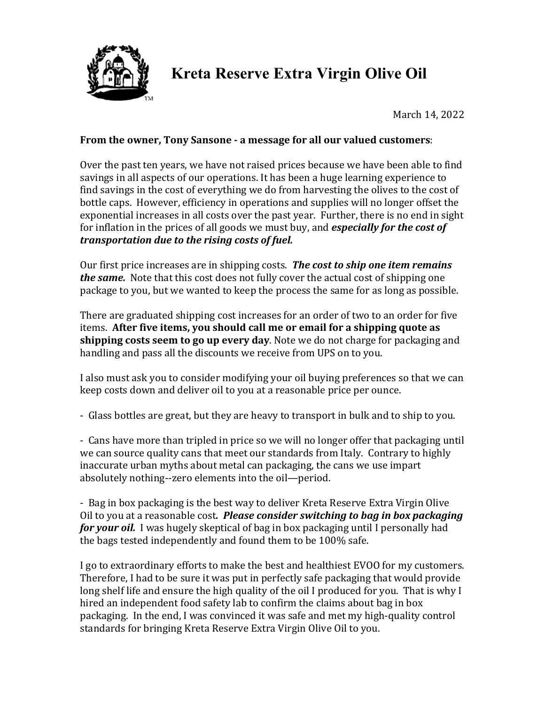

## **Kreta Reserve Extra Virgin Olive Oil**

March 14, 2022

## **From the owner, Tony Sansone - a message for all our valued customers:**

Over the past ten years, we have not raised prices because we have been able to find savings in all aspects of our operations. It has been a huge learning experience to find savings in the cost of everything we do from harvesting the olives to the cost of bottle caps. However, efficiency in operations and supplies will no longer offset the exponential increases in all costs over the past year. Further, there is no end in sight for inflation in the prices of all goods we must buy, and *especially for the cost of transportation due to the rising costs of fuel.* 

Our first price increases are in shipping costs. **The cost to ship one item remains** *the same.* Note that this cost does not fully cover the actual cost of shipping one package to you, but we wanted to keep the process the same for as long as possible.

There are graduated shipping cost increases for an order of two to an order for five items. After five items, you should call me or email for a shipping quote as **shipping costs seem to go up every day**. Note we do not charge for packaging and handling and pass all the discounts we receive from UPS on to you.

I also must ask you to consider modifying your oil buying preferences so that we can keep costs down and deliver oil to you at a reasonable price per ounce.

- Glass bottles are great, but they are heavy to transport in bulk and to ship to you.

- Cans have more than tripled in price so we will no longer offer that packaging until we can source quality cans that meet our standards from Italy. Contrary to highly inaccurate urban myths about metal can packaging, the cans we use impart absolutely nothing--zero elements into the oil—period.

- Bag in box packaging is the best way to deliver Kreta Reserve Extra Virgin Olive Oil to you at a reasonable cost. Please consider switching to bag in box packaging **for your oil.** I was hugely skeptical of bag in box packaging until I personally had the bags tested independently and found them to be 100% safe.

I go to extraordinary efforts to make the best and healthiest EVOO for my customers. Therefore, I had to be sure it was put in perfectly safe packaging that would provide long shelf life and ensure the high quality of the oil I produced for you. That is why I hired an independent food safety lab to confirm the claims about bag in box packaging. In the end, I was convinced it was safe and met my high-quality control standards for bringing Kreta Reserve Extra Virgin Olive Oil to you.